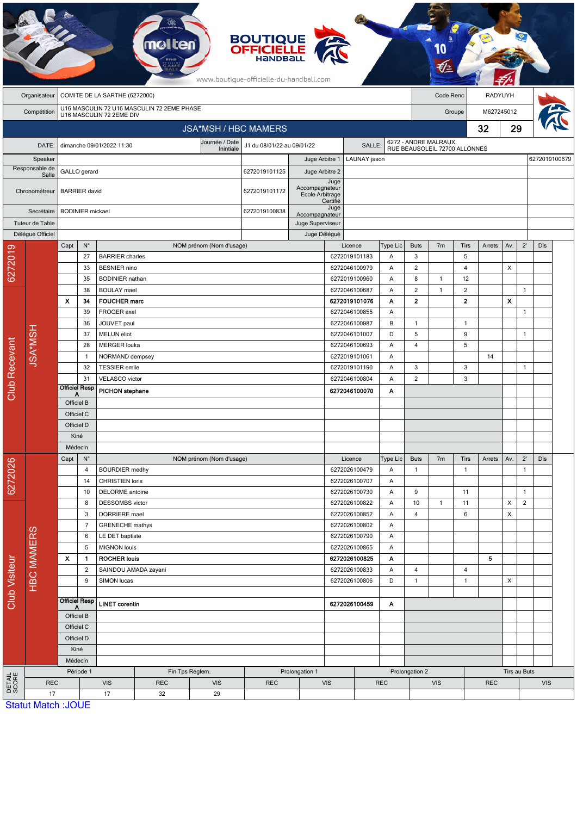|                 |                                 |                                            |                                                     |                                           |                                                           |                          | <b>BOUTIQUE<br/>OFFICIELLE</b><br>www.boutique-officielle-du-handball.com |                                   |                  |                                                       |               |                                       |                |                                |              |                    |                              |               |  |
|-----------------|---------------------------------|--------------------------------------------|-----------------------------------------------------|-------------------------------------------|-----------------------------------------------------------|--------------------------|---------------------------------------------------------------------------|-----------------------------------|------------------|-------------------------------------------------------|---------------|---------------------------------------|----------------|--------------------------------|--------------|--------------------|------------------------------|---------------|--|
|                 | Organisateur                    | COMITE DE LA SARTHE (6272000)<br>Code Renc |                                                     |                                           |                                                           |                          |                                                                           |                                   |                  |                                                       |               | RADYUYH                               |                |                                |              |                    |                              |               |  |
|                 | Compétition                     | U16 MASCULIN 72 U16 MASCULIN 72 2EME PHASE |                                                     |                                           |                                                           |                          |                                                                           |                                   |                  |                                                       |               |                                       | Groupe         |                                |              | M627245012         |                              |               |  |
|                 |                                 |                                            |                                                     | U16 MASCULIN 72 2EME DIV                  |                                                           |                          |                                                                           |                                   |                  |                                                       | 32            |                                       |                |                                |              |                    |                              |               |  |
|                 |                                 |                                            |                                                     |                                           |                                                           |                          | <b>JSA*MSH / HBC MAMERS</b>                                               |                                   |                  |                                                       |               |                                       |                |                                |              | 29                 |                              |               |  |
|                 | DATE:                           |                                            |                                                     | dimanche 09/01/2022 11:30                 | Journée / Date<br>J1 du 08/01/22 au 09/01/22<br>Inintiale |                          |                                                                           | SALLE:                            |                  | 6272 - ANDRE MALRAUX<br>RUE BEAUSOLEIL 72700 ALLONNES |               |                                       |                |                                |              |                    |                              |               |  |
| Speaker         |                                 |                                            |                                                     |                                           |                                                           |                          |                                                                           | Juge Arbitre 1                    |                  | LAUNAY jason                                          |               |                                       |                |                                |              |                    |                              | 6272019100679 |  |
|                 | Responsable de<br>Salle         |                                            | GALLO gerard                                        |                                           | 6272019101125                                             |                          | Juge Arbitre 2                                                            |                                   |                  |                                                       |               |                                       |                |                                |              |                    |                              |               |  |
|                 | Chronométreur                   |                                            | <b>BARRIER</b> david<br>6272019101172               |                                           |                                                           |                          |                                                                           | Accompagnateur<br>Ecole Arbitrage | Juge<br>Certifié |                                                       |               |                                       |                |                                |              |                    |                              |               |  |
| Secrétaire      |                                 |                                            | <b>BODINIER</b> mickael                             |                                           |                                                           |                          |                                                                           | Accompagnateur                    | Juge             |                                                       |               |                                       |                |                                |              |                    |                              |               |  |
|                 | Tuteur de Table                 |                                            |                                                     |                                           |                                                           |                          |                                                                           | Juge Superviseur                  |                  |                                                       |               |                                       |                |                                |              |                    |                              |               |  |
|                 | Délégué Officiel                |                                            |                                                     |                                           |                                                           |                          | Juge Délégué                                                              |                                   |                  |                                                       |               |                                       |                |                                |              |                    |                              |               |  |
|                 |                                 | Capt                                       | $N^{\circ}$                                         |                                           |                                                           | NOM prénom (Nom d'usage) |                                                                           |                                   |                  | Licence                                               | Type Lic      | <b>Buts</b>                           | 7 <sub>m</sub> | <b>Tirs</b>                    | Arrets       | Av.                | $2^{\prime}$                 | Dis           |  |
| 6272019         |                                 |                                            | 27                                                  | <b>BARRIER</b> charles                    |                                                           |                          |                                                                           |                                   |                  | 6272019101183                                         | A             | 3                                     |                | 5                              |              |                    |                              |               |  |
|                 |                                 |                                            | 33                                                  | <b>BESNIER</b> nino                       |                                                           |                          |                                                                           |                                   | 6272046100979    |                                                       | Α             | $\overline{2}$                        |                | $\overline{4}$                 |              | X                  |                              |               |  |
|                 |                                 |                                            | 35                                                  | <b>BODINIER</b> nathan                    |                                                           |                          |                                                                           |                                   |                  | 6272019100960                                         | Α             | 8<br>$\overline{2}$<br>$\overline{2}$ | $\mathbf{1}$   | 12                             |              |                    |                              |               |  |
|                 |                                 | $\boldsymbol{\mathsf{x}}$                  | 38<br>34                                            | <b>BOULAY</b> mael<br><b>FOUCHER marc</b> |                                                           |                          |                                                                           |                                   |                  | 6272046100687<br>6272019101076                        | Α<br>Α        |                                       | $\mathbf{1}$   | $\overline{c}$<br>$\mathbf{2}$ |              | $\pmb{\mathsf{x}}$ | $\mathbf{1}$                 |               |  |
|                 |                                 |                                            | 39                                                  | FROGER axel                               |                                                           |                          |                                                                           |                                   |                  | 6272046100855                                         | A             |                                       |                |                                |              |                    | $\mathbf{1}$                 |               |  |
|                 |                                 |                                            | 36                                                  | JOUVET paul                               |                                                           |                          |                                                                           |                                   |                  | 6272046100987<br>B<br>6272046101007<br>D              |               | $\mathbf{1}$                          |                | $\mathbf{1}$                   |              |                    |                              |               |  |
|                 |                                 |                                            | 37                                                  | <b>MELUN</b> eliot                        |                                                           |                          |                                                                           |                                   |                  |                                                       |               | 5                                     |                | 9                              |              |                    | $\mathbf{1}$                 |               |  |
|                 |                                 |                                            | 28<br><b>MERGER louka</b>                           |                                           |                                                           |                          |                                                                           |                                   |                  | 6272046100693<br>A                                    |               | 4                                     |                | 5                              |              |                    |                              |               |  |
|                 | <b>JSA*MSH</b>                  |                                            | NORMAND dempsey<br>$\mathbf{1}$                     |                                           |                                                           |                          |                                                                           |                                   |                  | 6272019101061                                         | Α             |                                       |                |                                | 14           |                    |                              |               |  |
|                 |                                 |                                            | 32                                                  | <b>TESSIER</b> emile                      |                                                           |                          |                                                                           |                                   |                  | 6272019101190                                         | Α             | 3                                     |                | 3                              |              |                    | $\mathbf{1}$                 |               |  |
|                 |                                 |                                            | 31<br><b>VELASCO</b> victor                         |                                           |                                                           |                          |                                                                           |                                   |                  | 6272046100804                                         | Α             | $\overline{2}$                        |                | 3                              |              |                    |                              |               |  |
| Club Recevant   |                                 |                                            | <b>Officiel Resp</b><br><b>PICHON</b> stephane<br>А |                                           |                                                           | 6272046100070            |                                                                           |                                   | A                |                                                       |               |                                       |                |                                |              |                    |                              |               |  |
|                 |                                 |                                            | Officiel B                                          |                                           |                                                           |                          |                                                                           |                                   |                  |                                                       |               |                                       |                |                                |              |                    |                              |               |  |
|                 |                                 | Officiel C                                 |                                                     |                                           |                                                           |                          |                                                                           |                                   |                  |                                                       |               |                                       |                |                                |              |                    |                              |               |  |
|                 |                                 | Officiel D                                 |                                                     |                                           |                                                           |                          |                                                                           |                                   |                  |                                                       |               |                                       |                |                                |              |                    |                              |               |  |
|                 |                                 | Kiné                                       |                                                     |                                           |                                                           |                          |                                                                           |                                   |                  |                                                       |               |                                       |                |                                |              |                    |                              |               |  |
|                 |                                 | Médecin                                    |                                                     |                                           |                                                           |                          |                                                                           |                                   |                  |                                                       |               |                                       |                |                                |              |                    |                              |               |  |
|                 |                                 | Capt                                       | $N^{\circ}$<br>4                                    | <b>BOURDIER</b> medhy                     |                                                           | NOM prénom (Nom d'usage) |                                                                           |                                   |                  | Licence<br>6272026100479                              | Type Lic<br>Α | <b>Buts</b><br>$\mathbf{1}$           | 7 <sub>m</sub> | Tirs<br>$\mathbf{1}$           | Arrets       | Av.                | $2^{\prime}$<br>$\mathbf{1}$ | Dis           |  |
| 6272026         |                                 |                                            | 14                                                  | <b>CHRISTIEN loris</b>                    |                                                           |                          |                                                                           |                                   |                  | 6272026100707                                         | Α             |                                       |                |                                |              |                    |                              |               |  |
|                 |                                 |                                            |                                                     | 10<br><b>DELORME</b> antoine              |                                                           |                          |                                                                           |                                   | 6272026100730    | Α                                                     | 9             |                                       | 11             |                                |              | $\mathbf{1}$       |                              |               |  |
| Club Visiteur   |                                 |                                            | 8<br>DESSOMBS victor                                |                                           |                                                           |                          |                                                                           |                                   | 6272026100822    | Α                                                     | 10            | $\mathbf{1}$                          | 11             |                                | Χ            | $\overline{2}$     |                              |               |  |
|                 |                                 |                                            | 3                                                   | DORRIERE mael                             |                                                           |                          |                                                                           |                                   |                  | 6272026100852                                         | A             | 4                                     |                | 6                              |              | X                  |                              |               |  |
|                 |                                 |                                            | $\overline{7}$                                      | <b>GRENECHE</b> mathys                    |                                                           |                          |                                                                           |                                   |                  | 6272026100802                                         | Α             |                                       |                |                                |              |                    |                              |               |  |
|                 | <b>HBC MAMERS</b>               |                                            | 6<br>LE DET baptiste                                |                                           |                                                           | 6272026100790            |                                                                           | Α                                 |                  |                                                       |               |                                       |                |                                |              |                    |                              |               |  |
|                 |                                 |                                            | 5                                                   | <b>MIGNON</b> louis                       |                                                           |                          |                                                                           |                                   |                  | 6272026100865                                         | Α             |                                       |                |                                |              |                    |                              |               |  |
|                 |                                 | x                                          | $\mathbf{1}$                                        | <b>ROCHER louis</b>                       |                                                           |                          |                                                                           |                                   |                  | 6272026100825                                         | Α             |                                       |                |                                | 5            |                    |                              |               |  |
|                 |                                 |                                            | $\overline{c}$<br>SAINDOU AMADA zayani              |                                           |                                                           |                          |                                                                           | 6272026100833<br>6272026100806    |                  | Α                                                     | 4             |                                       | 4              |                                |              |                    |                              |               |  |
|                 |                                 |                                            | 9                                                   | SIMON lucas                               |                                                           |                          |                                                                           |                                   |                  |                                                       | D             | $\mathbf{1}$                          |                | $\mathbf{1}$                   |              | X                  |                              |               |  |
|                 |                                 | <b>Officiel Resp</b>                       |                                                     |                                           |                                                           |                          |                                                                           | 6272026100459<br>Α                |                  |                                                       |               |                                       |                |                                |              |                    |                              |               |  |
|                 |                                 |                                            | <b>LINET corentin</b><br>A<br>Officiel B            |                                           |                                                           |                          |                                                                           |                                   |                  |                                                       |               |                                       |                |                                |              |                    |                              |               |  |
|                 |                                 |                                            | Officiel C                                          |                                           |                                                           |                          |                                                                           |                                   |                  |                                                       |               |                                       |                |                                |              |                    |                              |               |  |
|                 |                                 |                                            | Officiel D                                          |                                           |                                                           |                          |                                                                           |                                   |                  |                                                       |               |                                       |                |                                |              |                    |                              |               |  |
|                 |                                 |                                            | Kiné                                                |                                           |                                                           |                          |                                                                           |                                   |                  |                                                       |               |                                       |                |                                |              |                    |                              |               |  |
|                 |                                 |                                            | Médecin                                             |                                           |                                                           |                          |                                                                           |                                   |                  |                                                       |               |                                       |                |                                |              |                    |                              |               |  |
|                 |                                 |                                            | Période 1                                           |                                           | Fin Tps Reglem.                                           | Prolongation 1           |                                                                           |                                   |                  | Prolongation 2                                        |               |                                       |                |                                | Tirs au Buts |                    |                              |               |  |
| DETAIL<br>SCORE | <b>REC</b>                      |                                            |                                                     | <b>VIS</b>                                | <b>REC</b>                                                | <b>VIS</b>               | <b>REC</b>                                                                |                                   | <b>VIS</b>       | <b>REC</b>                                            |               | <b>VIS</b>                            |                |                                | <b>REC</b>   |                    |                              | <b>VIS</b>    |  |
|                 | 17<br><b>Statut Match: JOUE</b> |                                            |                                                     | 17                                        | 32                                                        | 29                       |                                                                           |                                   |                  |                                                       |               |                                       |                |                                |              |                    |                              |               |  |